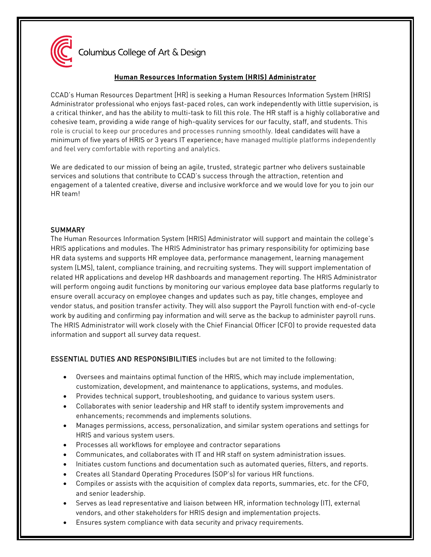

Columbus College of Art & Design

# **Human Resources Information System (HRIS) Administrator**

CCAD's Human Resources Department [HR] is seeking a Human Resources Information System (HRIS) Administrator professional who enjoys fast-paced roles, can work independently with little supervision, is a critical thinker, and has the ability to multi-task to fill this role. The HR staff is a highly collaborative and cohesive team, providing a wide range of high-quality services for our faculty, staff, and students. This role is crucial to keep our procedures and processes running smoothly. Ideal candidates will have a minimum of five years of HRIS or 3 years IT experience; have managed multiple platforms independently and feel very comfortable with reporting and analytics.

We are dedicated to our mission of being an agile, trusted, strategic partner who delivers sustainable services and solutions that contribute to CCAD's success through the attraction, retention and engagement of a talented creative, diverse and inclusive workforce and we would love for you to join our HR team!

### **SUMMARY**

The Human Resources Information System (HRIS) Administrator will support and maintain the college's HRIS applications and modules. The HRIS Administrator has primary responsibility for optimizing base HR data systems and supports HR employee data, performance management, learning management system (LMS), talent, compliance training, and recruiting systems. They will support implementation of related HR applications and develop HR dashboards and management reporting. The HRIS Administrator will perform ongoing audit functions by monitoring our various employee data base platforms regularly to ensure overall accuracy on employee changes and updates such as pay, title changes, employee and vendor status, and position transfer activity. They will also support the Payroll function with end-of-cycle work by auditing and confirming pay information and will serve as the backup to administer payroll runs. The HRIS Administrator will work closely with the Chief Financial Officer (CFO) to provide requested data information and support all survey data request.

ESSENTIAL DUTIES AND RESPONSIBILITIES includes but are not limited to the following:

- Oversees and maintains optimal function of the HRIS, which may include implementation, customization, development, and maintenance to applications, systems, and modules.
- Provides technical support, troubleshooting, and guidance to various system users.
- Collaborates with senior leadership and HR staff to identify system improvements and enhancements; recommends and implements solutions.
- Manages permissions, access, personalization, and similar system operations and settings for HRIS and various system users.
- Processes all workflows for employee and contractor separations
- Communicates, and collaborates with IT and HR staff on system administration issues.
- Initiates custom functions and documentation such as automated queries, filters, and reports.
- Creates all Standard Operating Procedures (SOP's) for various HR functions.
- Compiles or assists with the acquisition of complex data reports, summaries, etc. for the CFO, and senior leadership.
- Serves as lead representative and liaison between HR, information technology (IT), external vendors, and other stakeholders for HRIS design and implementation projects.
- Ensures system compliance with data security and privacy requirements.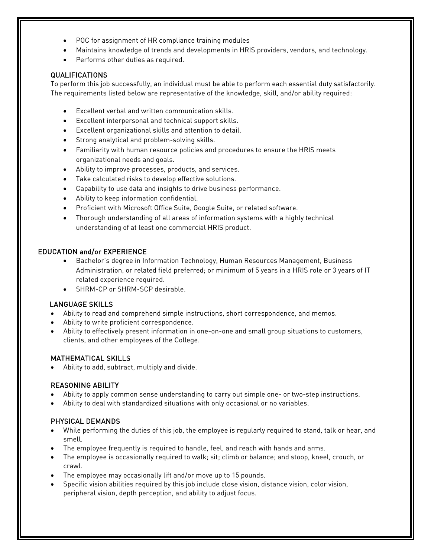- POC for assignment of HR compliance training modules
- Maintains knowledge of trends and developments in HRIS providers, vendors, and technology.
- Performs other duties as required.

## QUALIFICATIONS

To perform this job successfully, an individual must be able to perform each essential duty satisfactorily. The requirements listed below are representative of the knowledge, skill, and/or ability required:

- Excellent verbal and written communication skills.
- Excellent interpersonal and technical support skills.
- Excellent organizational skills and attention to detail.
- Strong analytical and problem-solving skills.
- Familiarity with human resource policies and procedures to ensure the HRIS meets organizational needs and goals.
- Ability to improve processes, products, and services.
- Take calculated risks to develop effective solutions.
- Capability to use data and insights to drive business performance.
- Ability to keep information confidential.
- Proficient with Microsoft Office Suite, Google Suite, or related software.
- Thorough understanding of all areas of information systems with a highly technical understanding of at least one commercial HRIS product.

### EDUCATION and/or EXPERIENCE

- Bachelor's degree in Information Technology, Human Resources Management, Business Administration, or related field preferred; or minimum of 5 years in a HRIS role or 3 years of IT related experience required.
- SHRM-CP or SHRM-SCP desirable.

### LANGUAGE SKILLS

- Ability to read and comprehend simple instructions, short correspondence, and memos.
- Ability to write proficient correspondence.
- Ability to effectively present information in one-on-one and small group situations to customers, clients, and other employees of the College.

### MATHEMATICAL SKILLS

• Ability to add, subtract, multiply and divide.

### REASONING ABILITY

- Ability to apply common sense understanding to carry out simple one- or two-step instructions.
- Ability to deal with standardized situations with only occasional or no variables.

### PHYSICAL DEMANDS

- While performing the duties of this job, the employee is regularly required to stand, talk or hear, and smell.
- The employee frequently is required to handle, feel, and reach with hands and arms.
- The employee is occasionally required to walk; sit; climb or balance; and stoop, kneel, crouch, or crawl.
- The employee may occasionally lift and/or move up to 15 pounds.
- Specific vision abilities required by this job include close vision, distance vision, color vision, peripheral vision, depth perception, and ability to adjust focus.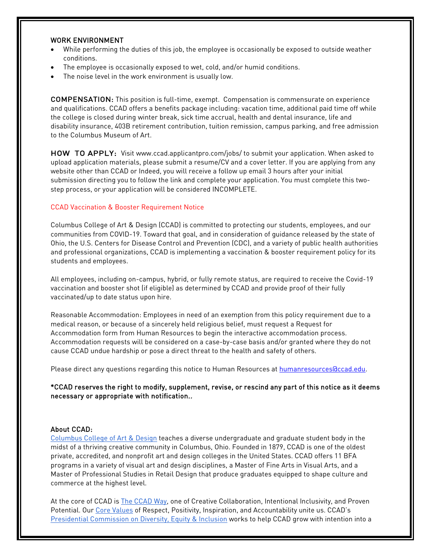### WORK ENVIRONMENT

- While performing the duties of this job, the employee is occasionally be exposed to outside weather conditions.
- The employee is occasionally exposed to wet, cold, and/or humid conditions.
- The noise level in the work environment is usually low.

COMPENSATION: This position is full-time, exempt. Compensation is commensurate on experience and qualifications. CCAD offers a benefits package including: vacation time, additional paid time off while the college is closed during winter break, sick time accrual, health and dental insurance, life and disability insurance, 403B retirement contribution, tuition remission, campus parking, and free admission to the Columbus Museum of Art.

HOW TO APPLY: Visit [www.ccad.applicantpro.com/jobs/ t](http://www.ccad.applicantpro.com/jobs/)o submit your application. When asked to upload application materials, please submit a resume/CV and a cover letter. If you are applying from any website other than CCAD or Indeed, you will receive a follow up email 3 hours after your initial submission directing you to follow the link and complete your application. You must complete this twostep process, or your application will be considered INCOMPLETE.

#### CCAD Vaccination & Booster Requirement Notice

Columbus College of Art & Design (CCAD) is committed to protecting our students, employees, and our communities from COVID-19. Toward that goal, and in consideration of guidance released by the state of Ohio, the U.S. Centers for Disease Control and Prevention (CDC), and a variety of public health authorities and professional organizations, CCAD is implementing a vaccination & booster requirement policy for its students and employees.

All employees, including on-campus, hybrid, or fully remote status, are required to receive the Covid-19 vaccination and booster shot (if eligible) as determined by CCAD and provide proof of their fully vaccinated/up to date status upon hire.

Reasonable Accommodation: Employees in need of an exemption from this policy requirement due to a medical reason, or because of a sincerely held religious belief, must request a Request for Accommodation form from Human Resources to begin the interactive accommodation process. Accommodation requests will be considered on a case-by-case basis and/or granted where they do not cause CCAD undue hardship or pose a direct threat to the health and safety of others.

Please direct any questions regarding this notice to Human Resources at humanresources accad.edu.

\*CCAD reserves the right to modify, supplement, revise, or rescind any part of this notice as it deems necessary or appropriate with notification..

### About CCAD:

[Columbus College of Art & Design](https://www.ccad.edu/) teaches a diverse undergraduate and graduate student body in the midst of a thriving creative community in Columbus, Ohio. Founded in 1879, CCAD is one of the oldest private, accredited, and nonprofit art and design colleges in the United States. CCAD offers 11 BFA programs in a variety of visual art and design disciplines, a Master of Fine Arts in Visual Arts, and a Master of Professional Studies in Retail Design that produce graduates equipped to shape culture and commerce at the highest level.

At the core of CCAD is **The CCAD Way, one of Creative Collaboration**, Intentional Inclusivity, and Proven Potential. Our [Core Values](https://www.ccad.edu/about-us/mission-statement) of Respect, Positivity, Inspiration, and Accountability unite us. CCAD's [Presidential Commission on Diversity, Equity & Inclusion](https://www.ccad.edu/presidential-commission-diversity-equity-inclusion) works to help CCAD grow with intention into a